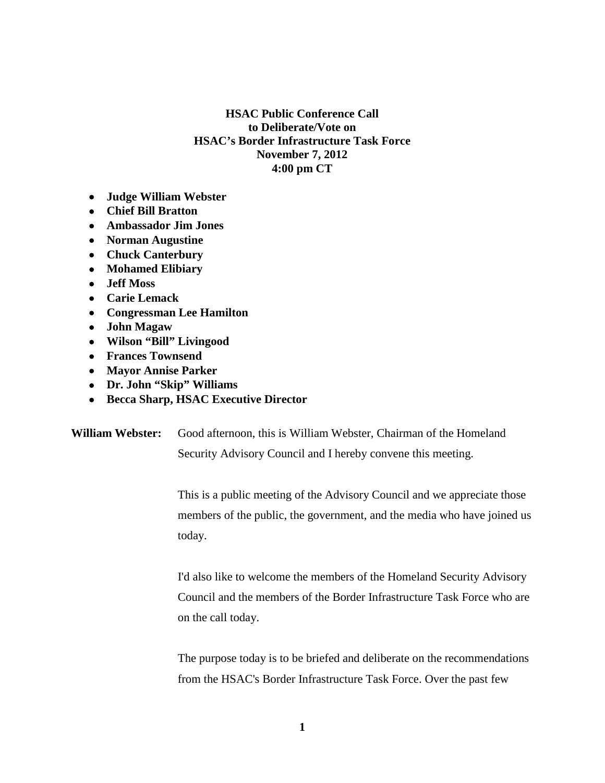## **HSAC Public Conference Call to Deliberate/Vote on HSAC's Border Infrastructure Task Force November 7, 2012 4:00 pm CT**

- **Judge William Webster**
- **Chief Bill Bratton**
- **Ambassador Jim Jones**
- **Norman Augustine**
- **Chuck Canterbury**
- **Mohamed Elibiary**
- **Jeff Moss**
- **Carie Lemack**
- **Congressman Lee Hamilton**
- **John Magaw**
- **Wilson "Bill" Livingood**
- **Frances Townsend**
- **Mayor Annise Parker**
- **Dr. John "Skip" Williams**
- **Becca Sharp, HSAC Executive Director**

**William Webster:** Good afternoon, this is William Webster, Chairman of the Homeland Security Advisory Council and I hereby convene this meeting.

> This is a public meeting of the Advisory Council and we appreciate those members of the public, the government, and the media who have joined us today.

> I'd also like to welcome the members of the Homeland Security Advisory Council and the members of the Border Infrastructure Task Force who are on the call today.

> The purpose today is to be briefed and deliberate on the recommendations from the HSAC's Border Infrastructure Task Force. Over the past few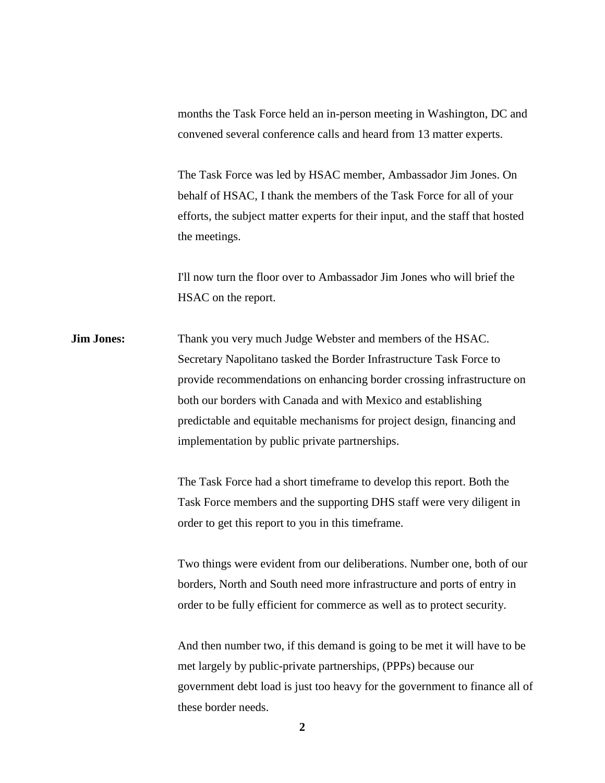months the Task Force held an in-person meeting in Washington, DC and convened several conference calls and heard from 13 matter experts.

The Task Force was led by HSAC member, Ambassador Jim Jones. On behalf of HSAC, I thank the members of the Task Force for all of your efforts, the subject matter experts for their input, and the staff that hosted the meetings.

I'll now turn the floor over to Ambassador Jim Jones who will brief the HSAC on the report.

**Jim Jones:** Thank you very much Judge Webster and members of the HSAC. Secretary Napolitano tasked the Border Infrastructure Task Force to provide recommendations on enhancing border crossing infrastructure on both our borders with Canada and with Mexico and establishing predictable and equitable mechanisms for project design, financing and implementation by public private partnerships.

> The Task Force had a short timeframe to develop this report. Both the Task Force members and the supporting DHS staff were very diligent in order to get this report to you in this timeframe.

Two things were evident from our deliberations. Number one, both of our borders, North and South need more infrastructure and ports of entry in order to be fully efficient for commerce as well as to protect security.

And then number two, if this demand is going to be met it will have to be met largely by public-private partnerships, (PPPs) because our government debt load is just too heavy for the government to finance all of these border needs.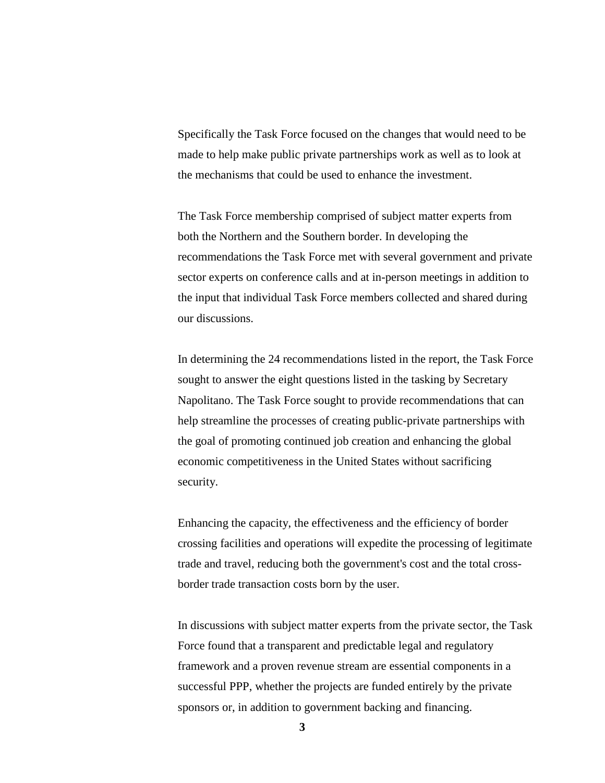Specifically the Task Force focused on the changes that would need to be made to help make public private partnerships work as well as to look at the mechanisms that could be used to enhance the investment.

The Task Force membership comprised of subject matter experts from both the Northern and the Southern border. In developing the recommendations the Task Force met with several government and private sector experts on conference calls and at in-person meetings in addition to the input that individual Task Force members collected and shared during our discussions.

In determining the 24 recommendations listed in the report, the Task Force sought to answer the eight questions listed in the tasking by Secretary Napolitano. The Task Force sought to provide recommendations that can help streamline the processes of creating public-private partnerships with the goal of promoting continued job creation and enhancing the global economic competitiveness in the United States without sacrificing security.

Enhancing the capacity, the effectiveness and the efficiency of border crossing facilities and operations will expedite the processing of legitimate trade and travel, reducing both the government's cost and the total crossborder trade transaction costs born by the user.

In discussions with subject matter experts from the private sector, the Task Force found that a transparent and predictable legal and regulatory framework and a proven revenue stream are essential components in a successful PPP, whether the projects are funded entirely by the private sponsors or, in addition to government backing and financing.

**3**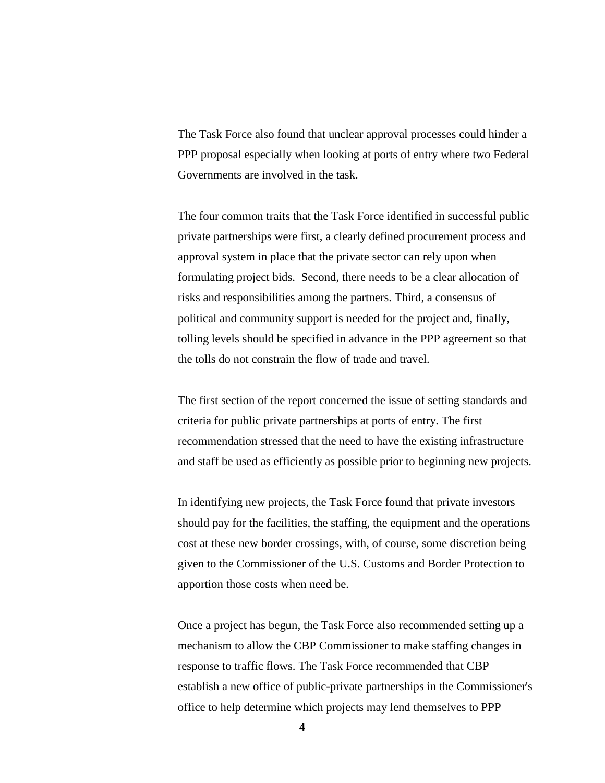The Task Force also found that unclear approval processes could hinder a PPP proposal especially when looking at ports of entry where two Federal Governments are involved in the task.

The four common traits that the Task Force identified in successful public private partnerships were first, a clearly defined procurement process and approval system in place that the private sector can rely upon when formulating project bids. Second, there needs to be a clear allocation of risks and responsibilities among the partners. Third, a consensus of political and community support is needed for the project and, finally, tolling levels should be specified in advance in the PPP agreement so that the tolls do not constrain the flow of trade and travel.

The first section of the report concerned the issue of setting standards and criteria for public private partnerships at ports of entry. The first recommendation stressed that the need to have the existing infrastructure and staff be used as efficiently as possible prior to beginning new projects.

In identifying new projects, the Task Force found that private investors should pay for the facilities, the staffing, the equipment and the operations cost at these new border crossings, with, of course, some discretion being given to the Commissioner of the U.S. Customs and Border Protection to apportion those costs when need be.

Once a project has begun, the Task Force also recommended setting up a mechanism to allow the CBP Commissioner to make staffing changes in response to traffic flows. The Task Force recommended that CBP establish a new office of public-private partnerships in the Commissioner's office to help determine which projects may lend themselves to PPP

**4**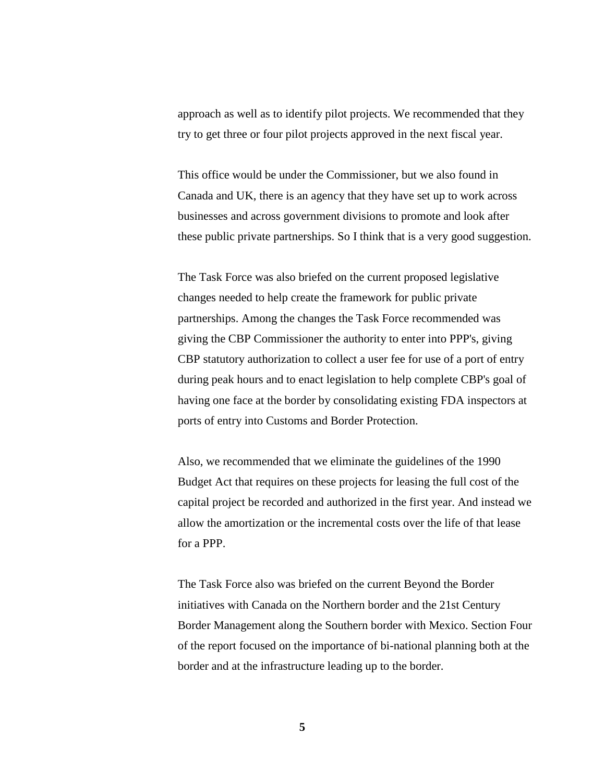approach as well as to identify pilot projects. We recommended that they try to get three or four pilot projects approved in the next fiscal year.

This office would be under the Commissioner, but we also found in Canada and UK, there is an agency that they have set up to work across businesses and across government divisions to promote and look after these public private partnerships. So I think that is a very good suggestion.

The Task Force was also briefed on the current proposed legislative changes needed to help create the framework for public private partnerships. Among the changes the Task Force recommended was giving the CBP Commissioner the authority to enter into PPP's, giving CBP statutory authorization to collect a user fee for use of a port of entry during peak hours and to enact legislation to help complete CBP's goal of having one face at the border by consolidating existing FDA inspectors at ports of entry into Customs and Border Protection.

Also, we recommended that we eliminate the guidelines of the 1990 Budget Act that requires on these projects for leasing the full cost of the capital project be recorded and authorized in the first year. And instead we allow the amortization or the incremental costs over the life of that lease for a PPP.

The Task Force also was briefed on the current Beyond the Border initiatives with Canada on the Northern border and the 21st Century Border Management along the Southern border with Mexico. Section Four of the report focused on the importance of bi-national planning both at the border and at the infrastructure leading up to the border.

**5**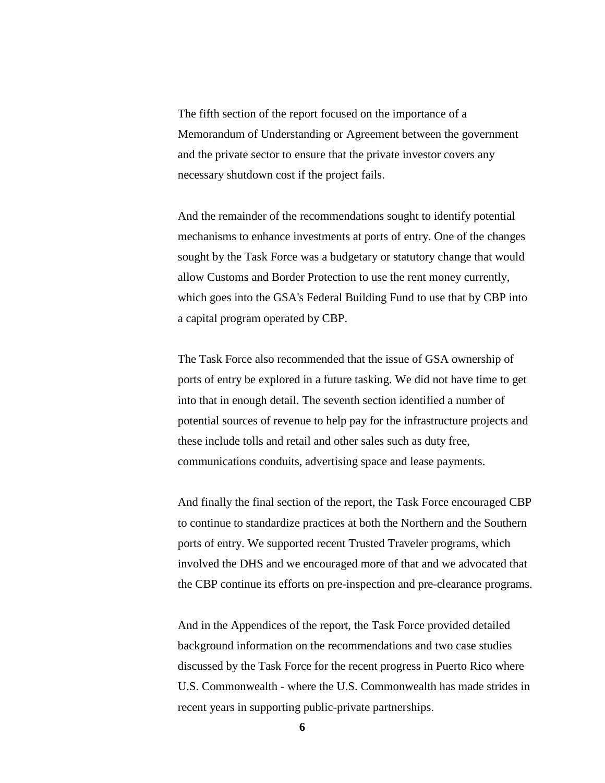The fifth section of the report focused on the importance of a Memorandum of Understanding or Agreement between the government and the private sector to ensure that the private investor covers any necessary shutdown cost if the project fails.

And the remainder of the recommendations sought to identify potential mechanisms to enhance investments at ports of entry. One of the changes sought by the Task Force was a budgetary or statutory change that would allow Customs and Border Protection to use the rent money currently, which goes into the GSA's Federal Building Fund to use that by CBP into a capital program operated by CBP.

The Task Force also recommended that the issue of GSA ownership of ports of entry be explored in a future tasking. We did not have time to get into that in enough detail. The seventh section identified a number of potential sources of revenue to help pay for the infrastructure projects and these include tolls and retail and other sales such as duty free, communications conduits, advertising space and lease payments.

And finally the final section of the report, the Task Force encouraged CBP to continue to standardize practices at both the Northern and the Southern ports of entry. We supported recent Trusted Traveler programs, which involved the DHS and we encouraged more of that and we advocated that the CBP continue its efforts on pre-inspection and pre-clearance programs.

And in the Appendices of the report, the Task Force provided detailed background information on the recommendations and two case studies discussed by the Task Force for the recent progress in Puerto Rico where U.S. Commonwealth - where the U.S. Commonwealth has made strides in recent years in supporting public-private partnerships.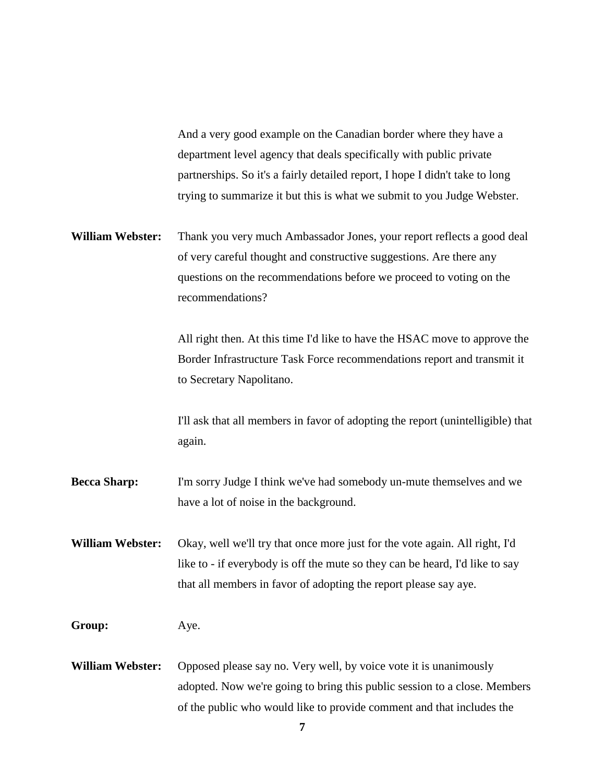And a very good example on the Canadian border where they have a department level agency that deals specifically with public private partnerships. So it's a fairly detailed report, I hope I didn't take to long trying to summarize it but this is what we submit to you Judge Webster.

**William Webster:** Thank you very much Ambassador Jones, your report reflects a good deal of very careful thought and constructive suggestions. Are there any questions on the recommendations before we proceed to voting on the recommendations?

> All right then. At this time I'd like to have the HSAC move to approve the Border Infrastructure Task Force recommendations report and transmit it to Secretary Napolitano.

I'll ask that all members in favor of adopting the report (unintelligible) that again.

- **Becca Sharp:** I'm sorry Judge I think we've had somebody un-mute themselves and we have a lot of noise in the background.
- **William Webster:** Okay, well we'll try that once more just for the vote again. All right, I'd like to - if everybody is off the mute so they can be heard, I'd like to say that all members in favor of adopting the report please say aye.

## **Group:** Aye.

**William Webster:** Opposed please say no. Very well, by voice vote it is unanimously adopted. Now we're going to bring this public session to a close. Members of the public who would like to provide comment and that includes the